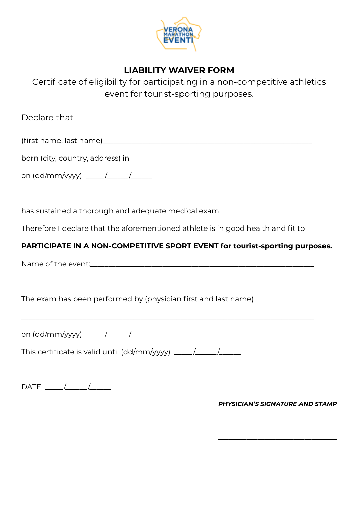

# **LIABILITY WAIVER FORM**

Certificate of eligibility for participating in a non-competitive athletics event for tourist-sporting purposes.

Declare that

(first name, last name)\_\_\_\_\_\_\_\_\_\_\_\_\_\_\_\_\_\_\_\_\_\_\_\_\_\_\_\_\_\_\_\_\_\_\_\_\_\_\_\_\_\_\_\_\_\_\_\_\_\_\_\_\_\_\_\_\_\_

| born (city, country, address) in |  |
|----------------------------------|--|
|                                  |  |

on (dd/mm/yyyy)  $\underline{\qquad \qquad /$ 

has sustained a thorough and adequate medical exam.

Therefore I declare that the aforementioned athlete is in good health and fit to

\_\_\_\_\_\_\_\_\_\_\_\_\_\_\_\_\_\_\_\_\_\_\_\_\_\_\_\_\_\_\_\_\_\_\_\_\_\_\_\_\_\_\_\_\_\_\_\_\_\_\_\_\_\_\_\_\_\_\_\_\_\_\_\_\_\_\_\_\_\_\_\_\_\_\_\_\_\_\_\_\_

# **PARTICIPATE IN A NON-COMPETITIVE SPORT EVENT for tourist-sporting purposes.**

Name of the event:\_\_\_\_\_\_\_\_\_\_\_\_\_\_\_\_\_\_\_\_\_\_\_\_\_\_\_\_\_\_\_\_\_\_\_\_\_\_\_\_\_\_\_\_\_\_\_\_\_\_\_\_\_\_\_\_\_\_\_\_\_\_

The exam has been performed by (physician first and last name)

on (dd/mm/yyyy) \_\_\_\_\_ /\_\_\_\_\_\_ /\_\_\_\_\_\_

This certificate is valid until (dd/mm/yyyy) \_\_\_\_\_ /\_\_\_\_\_\_ /\_\_\_\_\_\_

DATE, \_\_\_\_\_ /\_\_\_\_\_\_ /\_\_\_\_\_\_

*PHYSICIAN'S SIGNATURE AND STAMP*

\_\_\_\_\_\_\_\_\_\_\_\_\_\_\_\_\_\_\_\_\_\_\_\_\_\_\_\_\_\_\_\_\_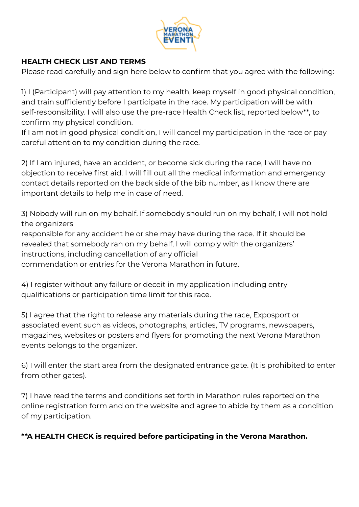

### **HEALTH CHECK LIST AND TERMS**

Please read carefully and sign here below to confirm that you agree with the following:

1) I (Participant) will pay attention to my health, keep myself in good physical condition, and train sufficiently before I participate in the race. My participation will be with self-responsibility. I will also use the pre-race Health Check list, reported below\*\*, to confirm my physical condition.

If I am not in good physical condition, I will cancel my participation in the race or pay careful attention to my condition during the race.

2) If I am injured, have an accident, or become sick during the race, I will have no objection to receive first aid. I will fill out all the medical information and emergency contact details reported on the back side of the bib number, as I know there are important details to help me in case of need.

3) Nobody will run on my behalf. If somebody should run on my behalf, I will not hold the organizers

responsible for any accident he or she may have during the race. If it should be revealed that somebody ran on my behalf, I will comply with the organizers' instructions, including cancellation of any official

commendation or entries for the Verona Marathon in future.

4) I register without any failure or deceit in my application including entry qualifications or participation time limit for this race.

5) I agree that the right to release any materials during the race, Exposport or associated event such as videos, photographs, articles, TV programs, newspapers, magazines, websites or posters and flyers for promoting the next Verona Marathon events belongs to the organizer.

6) I will enter the start area from the designated entrance gate. (It is prohibited to enter from other gates).

7) I have read the terms and conditions set forth in Marathon rules reported on the online registration form and on the website and agree to abide by them as a condition of my participation.

# **\*\*A HEALTH CHECK is required before participating in the Verona Marathon.**